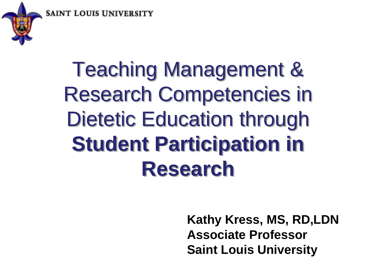**SAINT LOUIS UNIVER** 



Teaching Management & Research Competencies in Dietetic Education through **Student Participation in Research** 

> **Kathy Kress, MS, RD,LDN Associate Professor Saint Louis University**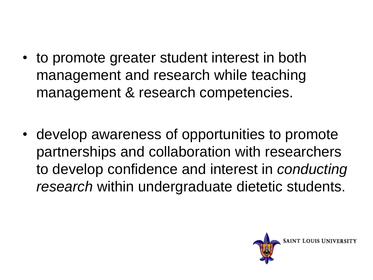- to promote greater student interest in both management and research while teaching management & research competencies.
- develop awareness of opportunities to promote partnerships and collaboration with researchers to develop confidence and interest in *conducting research* within undergraduate dietetic students.

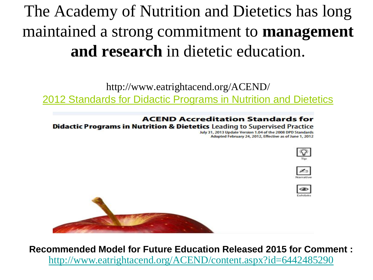### The Academy of Nutrition and Dietetics has long maintained a strong commitment to **management and research** in dietetic education.

http://www.eatrightacend.org/ACEND/

[2012 Standards for Didactic Programs in Nutrition and Dietetics](http://www.eatrightacend.org/WorkArea/linkit.aspx?LinkIdentifier=id&ItemID=6442468849&libID=6442468831)

#### **ACEND Accreditation Standards for**

**Didactic Programs in Nutrition & Dietetics Leading to Supervised Practice** 

July 31, 2013 Update Version 1.04 of the 2008 DPD Standards Adopted February 24, 2012, Effective as of June 1, 2012









**Recommended Model for Future Education Released 2015 for Comment :** <http://www.eatrightacend.org/ACEND/content.aspx?id=6442485290>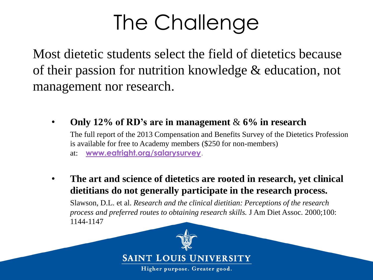# The Challenge

Most dietetic students select the field of dietetics because of their passion for nutrition knowledge & education, not management nor research.

- **Only 12% of RD's are in management** & **6% in research** The full report of the 2013 Compensation and Benefits Survey of the Dietetics Profession is available for free to Academy members (\$250 for non-members) at: **[www.eatright.org/salarysurvey](https://www.eatrightpro.org/salarysurvey)**.
- **The art and science of dietetics are rooted in research, yet clinical dietitians do not generally participate in the research process.**  Slawson, D.L. et al. *Research and the clinical dietitian: Perceptions of the research process and preferred routes to obtaining research skills.* J Am Diet Assoc. 2000;100: 1144-1147



**SAINT LOUIS UNIVERSITY** 

Higher purpose. Greater good.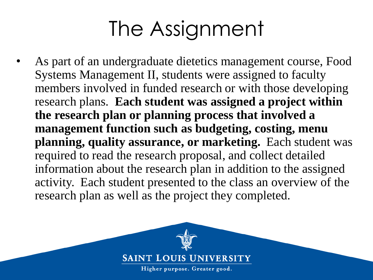# The Assignment

As part of an undergraduate dietetics management course, Food Systems Management II, students were assigned to faculty members involved in funded research or with those developing research plans. **Each student was assigned a project within the research plan or planning process that involved a management function such as budgeting, costing, menu planning, quality assurance, or marketing.** Each student was required to read the research proposal, and collect detailed information about the research plan in addition to the assigned activity. Each student presented to the class an overview of the research plan as well as the project they completed.

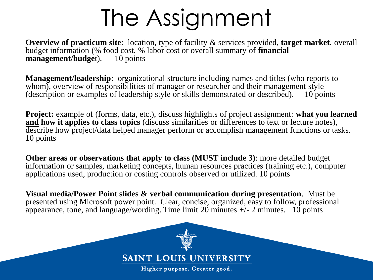# The Assignment

**Overview of practicum site**: location, type of facility & services provided, **target market**, overall budget information (% food cost, % labor cost or overall summary of **financial management/budget**). 10 points

**Management/leadership**: organizational structure including names and titles (who reports to whom), overview of responsibilities of manager or researcher and their management style (description or examples of leadership style or skills demonstrated or described). 10 points

**Project:** example of (forms, data, etc.), discuss highlights of project assignment: **what you learned and how it applies to class topics** (discuss similarities or differences to text or lecture notes), describe how project/data helped manager perform or accomplish management functions or tasks. 10 points

**Other areas or observations that apply to class (MUST include 3)**: more detailed budget information or samples, marketing concepts, human resources practices (training etc.), computer applications used, production or costing controls observed or utilized. 10 points

**Visual media/Power Point slides & verbal communication during presentation**. Must be presented using Microsoft power point. Clear, concise, organized, easy to follow, professional appearance, tone, and language/wording. Time limit 20 minutes  $+/- 2$  minutes. 10 points

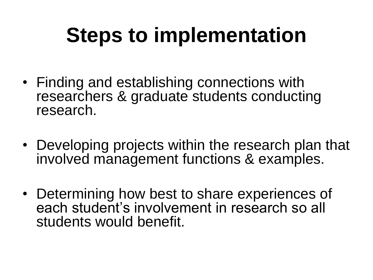# **Steps to implementation**

- Finding and establishing connections with researchers & graduate students conducting research.
- Developing projects within the research plan that involved management functions & examples.
- Determining how best to share experiences of each student's involvement in research so all students would benefit.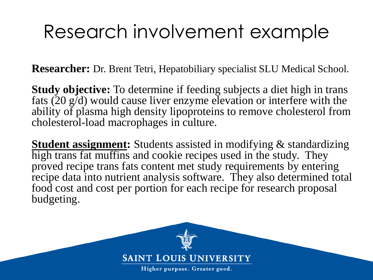## Research involvement example

**Researcher:** Dr. Brent Tetri, Hepatobiliary specialist SLU Medical School.

**Study objective:** To determine if feeding subjects a diet high in trans fats (20 g/d) would cause liver enzyme elevation or interfere with the ability of plasma high density lipoproteins to remove cholesterol from cholesterol-load macrophages in culture.

**Student assignment:** Students assisted in modifying & standardizing high trans fat muffins and cookie recipes used in the study. They proved recipe trans fats content met study requirements by entering recipe data into nutrient analysis software. They also determined total food cost and cost per portion for each recipe for research proposal budgeting.

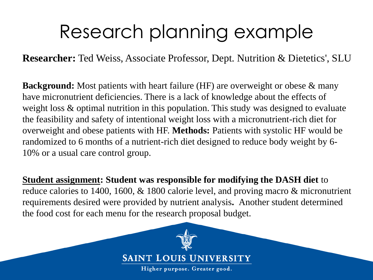## Research planning example

**Researcher:** Ted Weiss, Associate Professor, Dept. Nutrition & Dietetics', SLU

**Background:** Most patients with heart failure (HF) are overweight or obese & many have micronutrient deficiencies. There is a lack of knowledge about the effects of weight loss & optimal nutrition in this population. This study was designed to evaluate the feasibility and safety of intentional weight loss with a micronutrient-rich diet for overweight and obese patients with HF. **Methods:** Patients with systolic HF would be randomized to 6 months of a nutrient-rich diet designed to reduce body weight by 6- 10% or a usual care control group.

**Student assignment: Student was responsible for modifying the DASH diet** to reduce calories to 1400, 1600, & 1800 calorie level, and proving macro & micronutrient requirements desired were provided by nutrient analysis**.** Another student determined the food cost for each menu for the research proposal budget.